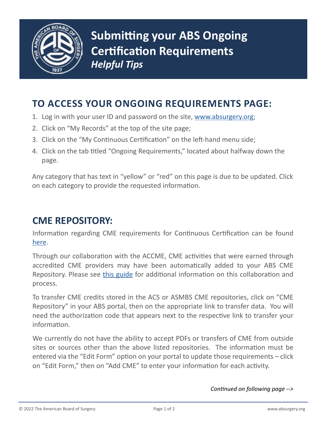

## **TO ACCESS YOUR ONGOING REQUIREMENTS PAGE:**

- 1. Log in with your user ID and password on the site, [www.absurgery.org;](http://www.absurgery.org)
- 2. Click on "My Records" at the top of the site page;
- 3. Click on the "My Continuous Certification" on the left-hand menu side;
- 4. Click on the tab titled "Ongoing Requirements," located about halfway down the page.

Any category that has text in "yellow" or "red" on this page is due to be updated. Click on each category to provide the requested information.

## **CME REPOSITORY:**

Information regarding CME requirements for Continuous Certification can be found [here.](https://www.absurgery.org/default.jsp?exam-moccme)

Through our collaboration with the ACCME, CME activities that were earned through accredited CME providers may have been automatically added to your ABS CME Repository. Please see [this guide](https://www.absurgery.org/xfer/accme_process_overview.pdf) for additional information on this collaboration and process.

To transfer CME credits stored in the ACS or ASMBS CME repositories, click on "CME Repository" in your ABS portal, then on the appropriate link to transfer data. You will need the authorization code that appears next to the respective link to transfer your information.

We currently do not have the ability to accept PDFs or transfers of CME from outside sites or sources other than the above listed repositories. The information must be entered via the "Edit Form" option on your portal to update those requirements – click on "Edit Form," then on "Add CME" to enter your information for each activity.

*Continued on following page -->*